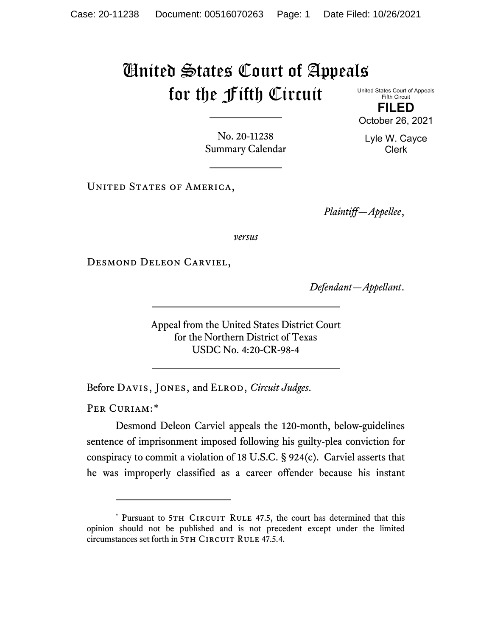## United States Court of Appeals for the Fifth Circuit United States Court of Appeals

Fifth Circuit **FILED**

No. 20-11238 Summary Calendar

UNITED STATES OF AMERICA,

*Plaintiff—Appellee*,

*versus*

Desmond Deleon Carviel,

*Defendant—Appellant*.

Appeal from the United States District Court for the Northern District of Texas USDC No. 4:20-CR-98-4

Before Davis, Jones, and Elrod, *Circuit Judges*.

PER CURIAM:[\\*](#page-0-0)

Desmond Deleon Carviel appeals the 120-month, below-guidelines sentence of imprisonment imposed following his guilty-plea conviction for conspiracy to commit a violation of 18 U.S.C. § 924(c). Carviel asserts that he was improperly classified as a career offender because his instant



<span id="page-0-0"></span><sup>\*</sup> Pursuant to 5TH CIRCUIT RULE 47.5, the court has determined that this opinion should not be published and is not precedent except under the limited circumstances set forth in 5TH CIRCUIT RULE 47.5.4.